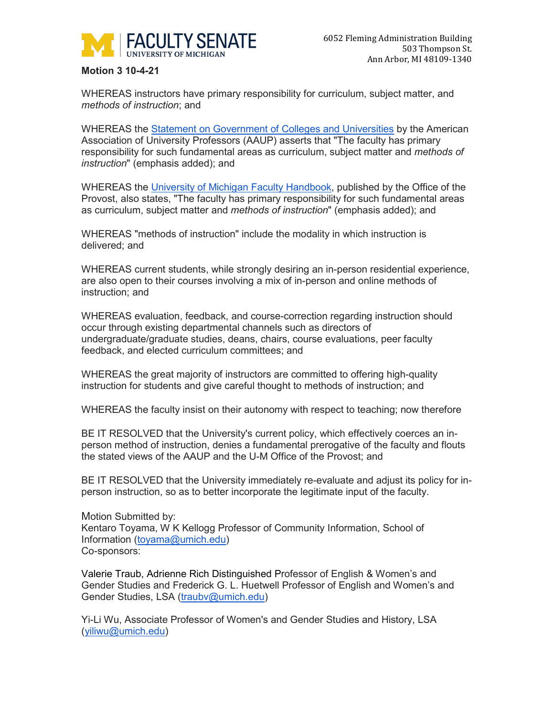

## **Motion 3 10-4-21**

WHEREAS instructors have primary responsibility for curriculum, subject matter, and *methods of instruction*; and

WHEREAS the [Statement on Government of Colleges and Universities](https://www.aaup.org/report/statement-government-colleges-and-universities) by the American Association of University Professors (AAUP) asserts that "The faculty has primary responsibility for such fundamental areas as curriculum, subject matter and *methods of instruction*" (emphasis added); and

WHEREAS the [University of Michigan Faculty Handbook,](https://www.provost.umich.edu/faculty/handbook/4/4.B.html) published by the Office of the Provost, also states, "The faculty has primary responsibility for such fundamental areas as curriculum, subject matter and *methods of instruction*" (emphasis added); and

WHEREAS "methods of instruction" include the modality in which instruction is delivered; and

WHEREAS current students, while strongly desiring an in-person residential experience, are also open to their courses involving a mix of in-person and online methods of instruction; and

WHEREAS evaluation, feedback, and course-correction regarding instruction should occur through existing departmental channels such as directors of undergraduate/graduate studies, deans, chairs, course evaluations, peer faculty feedback, and elected curriculum committees; and

WHEREAS the great majority of instructors are committed to offering high-quality instruction for students and give careful thought to methods of instruction; and

WHEREAS the faculty insist on their autonomy with respect to teaching; now therefore

BE IT RESOLVED that the University's current policy, which effectively coerces an inperson method of instruction, denies a fundamental prerogative of the faculty and flouts the stated views of the AAUP and the U-M Office of the Provost; and

BE IT RESOLVED that the University immediately re-evaluate and adjust its policy for inperson instruction, so as to better incorporate the legitimate input of the faculty.

Motion Submitted by: Kentaro Toyama, W K Kellogg Professor of Community Information, School of Information [\(toyama@umich.edu\)](mailto:toyama@umich.edu) Co-sponsors:

Valerie Traub, Adrienne Rich Distinguished Professor of English & Women's and Gender Studies and Frederick G. L. Huetwell Professor of English and Women's and Gender Studies, LSA [\(traubv@umich.edu\)](mailto:traubv@umich.edu)

Yi-Li Wu, Associate Professor of Women's and Gender Studies and History, LSA [\(yiliwu@umich.edu\)](mailto:yiliwu@umich.edu)